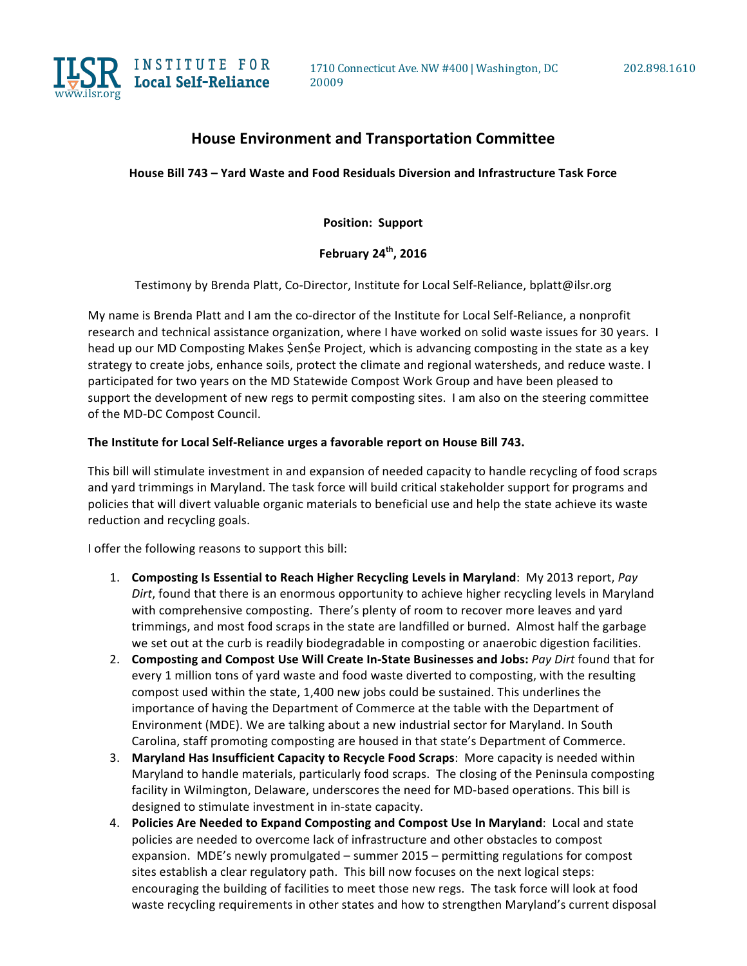

## **House Environment and Transportation Committee**

House Bill 743 – Yard Waste and Food Residuals Diversion and Infrastructure Task Force

**Position: Support** 

**February** 24<sup>th</sup>, 2016

Testimony by Brenda Platt, Co-Director, Institute for Local Self-Reliance, bplatt@ilsr.org

My name is Brenda Platt and I am the co-director of the Institute for Local Self-Reliance, a nonprofit research and technical assistance organization, where I have worked on solid waste issues for 30 years. I head up our MD Composting Makes \$en\$e Project, which is advancing composting in the state as a key strategy to create jobs, enhance soils, protect the climate and regional watersheds, and reduce waste. I participated for two years on the MD Statewide Compost Work Group and have been pleased to support the development of new regs to permit composting sites. I am also on the steering committee of the MD-DC Compost Council.

## The Institute for Local Self-Reliance urges a favorable report on House Bill 743.

This bill will stimulate investment in and expansion of needed capacity to handle recycling of food scraps and yard trimmings in Maryland. The task force will build critical stakeholder support for programs and policies that will divert valuable organic materials to beneficial use and help the state achieve its waste reduction and recycling goals.

I offer the following reasons to support this bill:

- 1. **Composting Is Essential to Reach Higher Recycling Levels in Maryland**: My 2013 report, *Pay* Dirt, found that there is an enormous opportunity to achieve higher recycling levels in Maryland with comprehensive composting. There's plenty of room to recover more leaves and yard trimmings, and most food scraps in the state are landfilled or burned. Almost half the garbage we set out at the curb is readily biodegradable in composting or anaerobic digestion facilities.
- 2. Composting and Compost Use Will Create In-State Businesses and Jobs: Pay Dirt found that for every 1 million tons of yard waste and food waste diverted to composting, with the resulting compost used within the state, 1,400 new jobs could be sustained. This underlines the importance of having the Department of Commerce at the table with the Department of Environment (MDE). We are talking about a new industrial sector for Maryland. In South Carolina, staff promoting composting are housed in that state's Department of Commerce.
- 3. Maryland Has Insufficient Capacity to Recycle Food Scraps: More capacity is needed within Maryland to handle materials, particularly food scraps. The closing of the Peninsula composting facility in Wilmington, Delaware, underscores the need for MD-based operations. This bill is designed to stimulate investment in in-state capacity.
- 4. **Policies Are Needed to Expand Composting and Compost Use In Maryland:** Local and state policies are needed to overcome lack of infrastructure and other obstacles to compost expansion. MDE's newly promulgated – summer 2015 – permitting regulations for compost sites establish a clear regulatory path. This bill now focuses on the next logical steps: encouraging the building of facilities to meet those new regs. The task force will look at food waste recycling requirements in other states and how to strengthen Maryland's current disposal